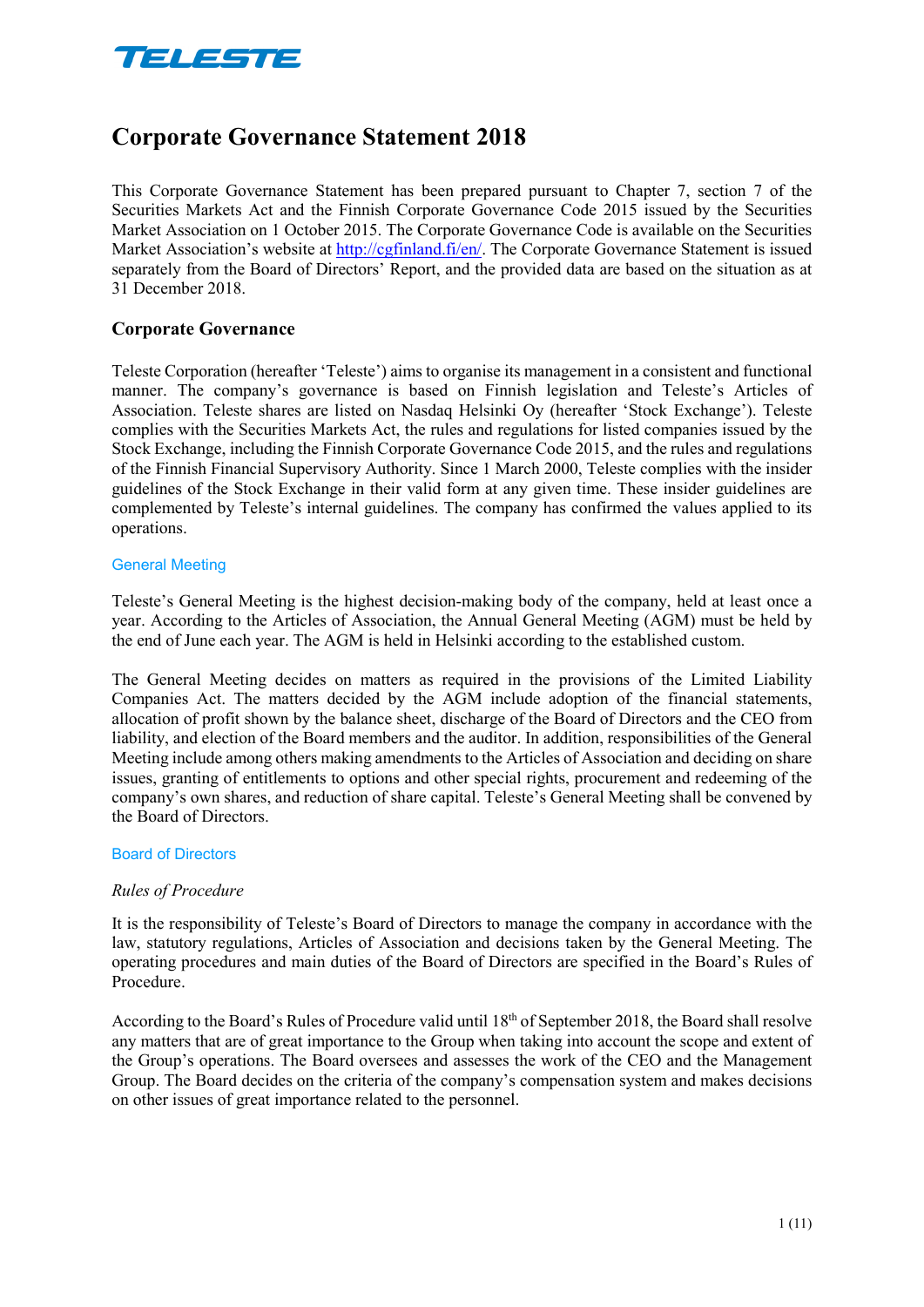

# **Corporate Governance Statement 2018**

This Corporate Governance Statement has been prepared pursuant to Chapter 7, section 7 of the Securities Markets Act and the Finnish Corporate Governance Code 2015 issued by the Securities Market Association on 1 October 2015. The Corporate Governance Code is available on the Securities Market Association's website at http://cgfinland.fi/en/. The Corporate Governance Statement is issued separately from the Board of Directors' Report, and the provided data are based on the situation as at 31 December 2018.

## **Corporate Governance**

Teleste Corporation (hereafter 'Teleste') aims to organise its management in a consistent and functional manner. The company's governance is based on Finnish legislation and Teleste's Articles of Association. Teleste shares are listed on Nasdaq Helsinki Oy (hereafter 'Stock Exchange'). Teleste complies with the Securities Markets Act, the rules and regulations for listed companies issued by the Stock Exchange, including the Finnish Corporate Governance Code 2015, and the rules and regulations of the Finnish Financial Supervisory Authority. Since 1 March 2000, Teleste complies with the insider guidelines of the Stock Exchange in their valid form at any given time. These insider guidelines are complemented by Teleste's internal guidelines. The company has confirmed the values applied to its operations.

#### General Meeting

Teleste's General Meeting is the highest decision-making body of the company, held at least once a year. According to the Articles of Association, the Annual General Meeting (AGM) must be held by the end of June each year. The AGM is held in Helsinki according to the established custom.

The General Meeting decides on matters as required in the provisions of the Limited Liability Companies Act. The matters decided by the AGM include adoption of the financial statements, allocation of profit shown by the balance sheet, discharge of the Board of Directors and the CEO from liability, and election of the Board members and the auditor. In addition, responsibilities of the General Meeting include among others making amendments to the Articles of Association and deciding on share issues, granting of entitlements to options and other special rights, procurement and redeeming of the company's own shares, and reduction of share capital. Teleste's General Meeting shall be convened by the Board of Directors.

#### Board of Directors

#### *Rules of Procedure*

It is the responsibility of Teleste's Board of Directors to manage the company in accordance with the law, statutory regulations, Articles of Association and decisions taken by the General Meeting. The operating procedures and main duties of the Board of Directors are specified in the Board's Rules of Procedure.

According to the Board's Rules of Procedure valid until 18<sup>th</sup> of September 2018, the Board shall resolve any matters that are of great importance to the Group when taking into account the scope and extent of the Group's operations. The Board oversees and assesses the work of the CEO and the Management Group. The Board decides on the criteria of the company's compensation system and makes decisions on other issues of great importance related to the personnel.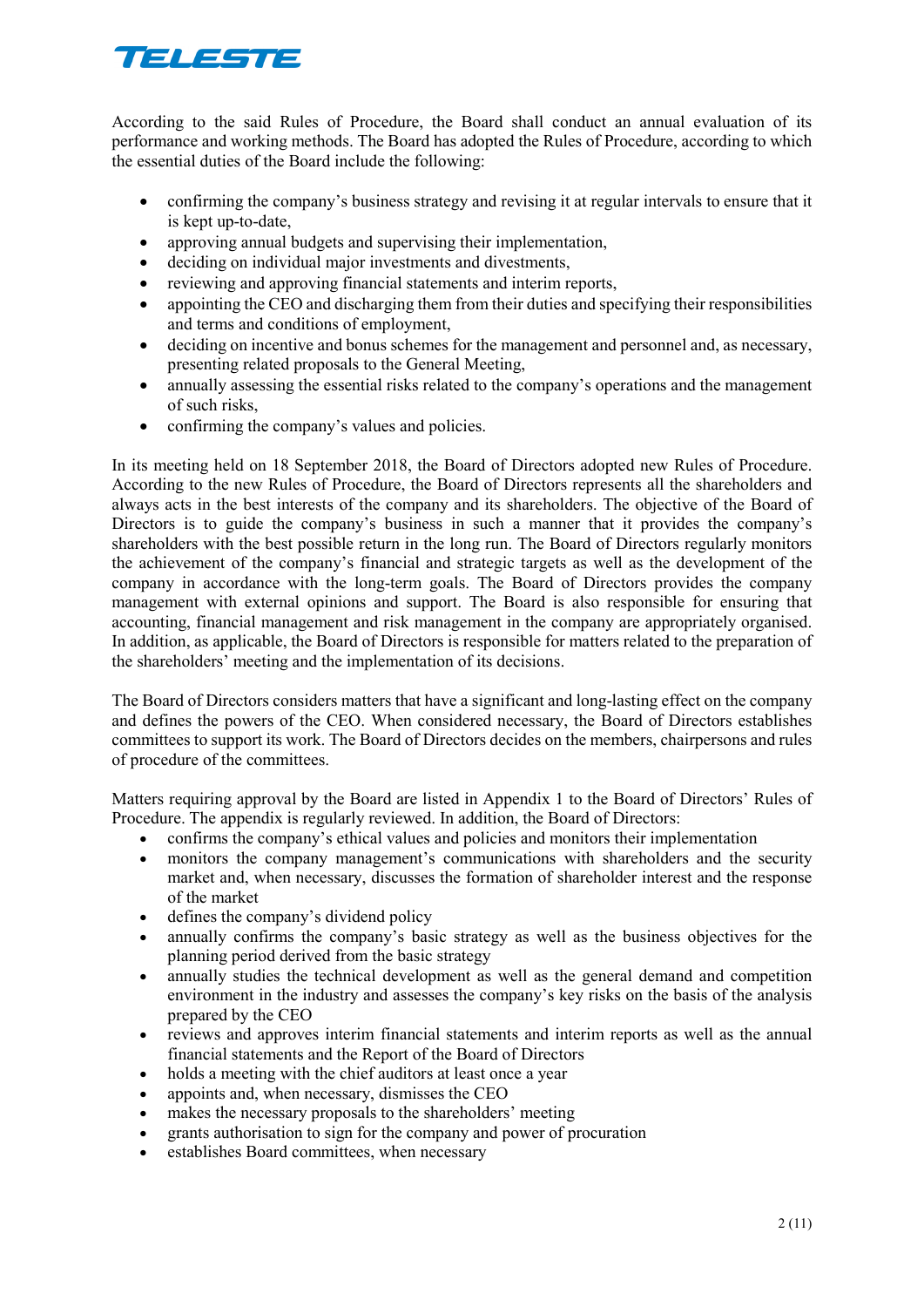# TELESTE

According to the said Rules of Procedure, the Board shall conduct an annual evaluation of its performance and working methods. The Board has adopted the Rules of Procedure, according to which the essential duties of the Board include the following:

- confirming the company's business strategy and revising it at regular intervals to ensure that it is kept up-to-date,
- approving annual budgets and supervising their implementation,
- deciding on individual major investments and divestments,
- reviewing and approving financial statements and interim reports,
- appointing the CEO and discharging them from their duties and specifying their responsibilities and terms and conditions of employment,
- deciding on incentive and bonus schemes for the management and personnel and, as necessary, presenting related proposals to the General Meeting,
- annually assessing the essential risks related to the company's operations and the management of such risks,
- confirming the company's values and policies.

In its meeting held on 18 September 2018, the Board of Directors adopted new Rules of Procedure. According to the new Rules of Procedure, the Board of Directors represents all the shareholders and always acts in the best interests of the company and its shareholders. The objective of the Board of Directors is to guide the company's business in such a manner that it provides the company's shareholders with the best possible return in the long run. The Board of Directors regularly monitors the achievement of the company's financial and strategic targets as well as the development of the company in accordance with the long-term goals. The Board of Directors provides the company management with external opinions and support. The Board is also responsible for ensuring that accounting, financial management and risk management in the company are appropriately organised. In addition, as applicable, the Board of Directors is responsible for matters related to the preparation of the shareholders' meeting and the implementation of its decisions.

The Board of Directors considers matters that have a significant and long-lasting effect on the company and defines the powers of the CEO. When considered necessary, the Board of Directors establishes committees to support its work. The Board of Directors decides on the members, chairpersons and rules of procedure of the committees.

Matters requiring approval by the Board are listed in Appendix 1 to the Board of Directors' Rules of Procedure. The appendix is regularly reviewed. In addition, the Board of Directors:

- confirms the company's ethical values and policies and monitors their implementation
- monitors the company management's communications with shareholders and the security market and, when necessary, discusses the formation of shareholder interest and the response of the market
- defines the company's dividend policy
- annually confirms the company's basic strategy as well as the business objectives for the planning period derived from the basic strategy
- annually studies the technical development as well as the general demand and competition environment in the industry and assesses the company's key risks on the basis of the analysis prepared by the CEO
- reviews and approves interim financial statements and interim reports as well as the annual financial statements and the Report of the Board of Directors
- holds a meeting with the chief auditors at least once a year
- appoints and, when necessary, dismisses the CEO
- makes the necessary proposals to the shareholders' meeting
- grants authorisation to sign for the company and power of procuration
- establishes Board committees, when necessary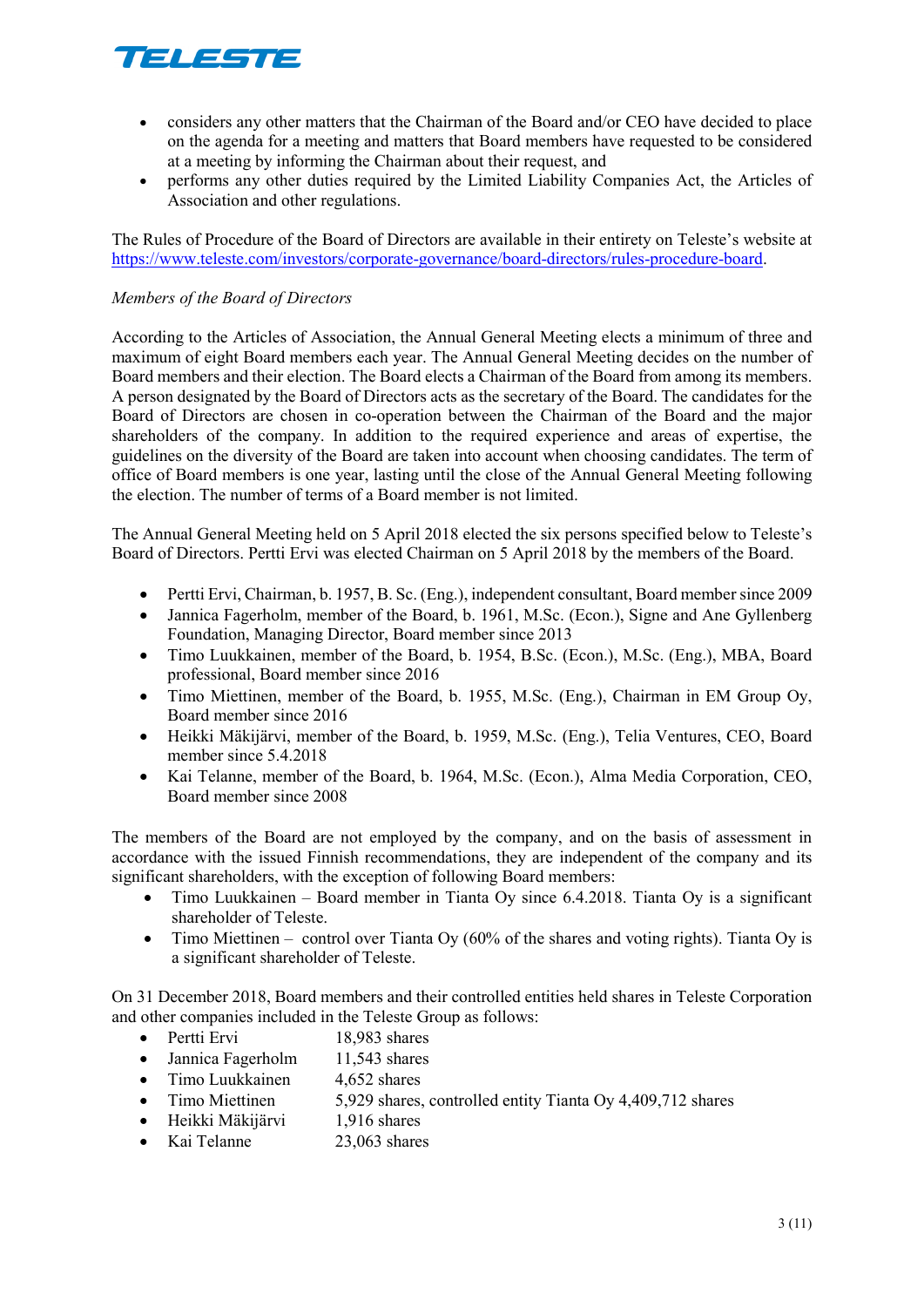

- considers any other matters that the Chairman of the Board and/or CEO have decided to place on the agenda for a meeting and matters that Board members have requested to be considered at a meeting by informing the Chairman about their request, and
- performs any other duties required by the Limited Liability Companies Act, the Articles of Association and other regulations.

The Rules of Procedure of the Board of Directors are available in their entirety on Teleste's website at [https://www.teleste.com/investors/corporate-governance/board-directors/rules-procedure-board.](https://www.teleste.com/investors/corporate-governance/board-directors/rules-procedure-board)

#### *Members of the Board of Directors*

According to the Articles of Association, the Annual General Meeting elects a minimum of three and maximum of eight Board members each year. The Annual General Meeting decides on the number of Board members and their election. The Board elects a Chairman of the Board from among its members. A person designated by the Board of Directors acts as the secretary of the Board. The candidates for the Board of Directors are chosen in co-operation between the Chairman of the Board and the major shareholders of the company. In addition to the required experience and areas of expertise, the guidelines on the diversity of the Board are taken into account when choosing candidates. The term of office of Board members is one year, lasting until the close of the Annual General Meeting following the election. The number of terms of a Board member is not limited.

The Annual General Meeting held on 5 April 2018 elected the six persons specified below to Teleste's Board of Directors. Pertti Ervi was elected Chairman on 5 April 2018 by the members of the Board.

- Pertti Ervi, Chairman, b. 1957, B. Sc. (Eng.), independent consultant, Board member since 2009
- Jannica Fagerholm, member of the Board, b. 1961, M.Sc. (Econ.), Signe and Ane Gyllenberg Foundation, Managing Director, Board member since 2013
- Timo Luukkainen, member of the Board, b. 1954, B.Sc. (Econ.), M.Sc. (Eng.), MBA, Board professional, Board member since 2016
- Timo Miettinen, member of the Board, b. 1955, M.Sc. (Eng.), Chairman in EM Group Oy, Board member since 2016
- Heikki Mäkijärvi, member of the Board, b. 1959, M.Sc. (Eng.), Telia Ventures, CEO, Board member since 5.4.2018
- Kai Telanne, member of the Board, b. 1964, M.Sc. (Econ.), Alma Media Corporation, CEO, Board member since 2008

The members of the Board are not employed by the company, and on the basis of assessment in accordance with the issued Finnish recommendations, they are independent of the company and its significant shareholders, with the exception of following Board members:

- Timo Luukkainen Board member in Tianta Oy since 6.4.2018. Tianta Oy is a significant shareholder of Teleste.
- Timo Miettinen control over Tianta Oy (60% of the shares and voting rights). Tianta Oy is a significant shareholder of Teleste.

On 31 December 2018, Board members and their controlled entities held shares in Teleste Corporation and other companies included in the Teleste Group as follows:

- Pertti Ervi 18,983 shares
- Jannica Fagerholm 11,543 shares
- Timo Luukkainen 4,652 shares
- Timo Miettinen 5,929 shares, controlled entity Tianta Oy 4,409,712 shares
- Heikki Mäkijärvi 1,916 shares
- Kai Telanne 23,063 shares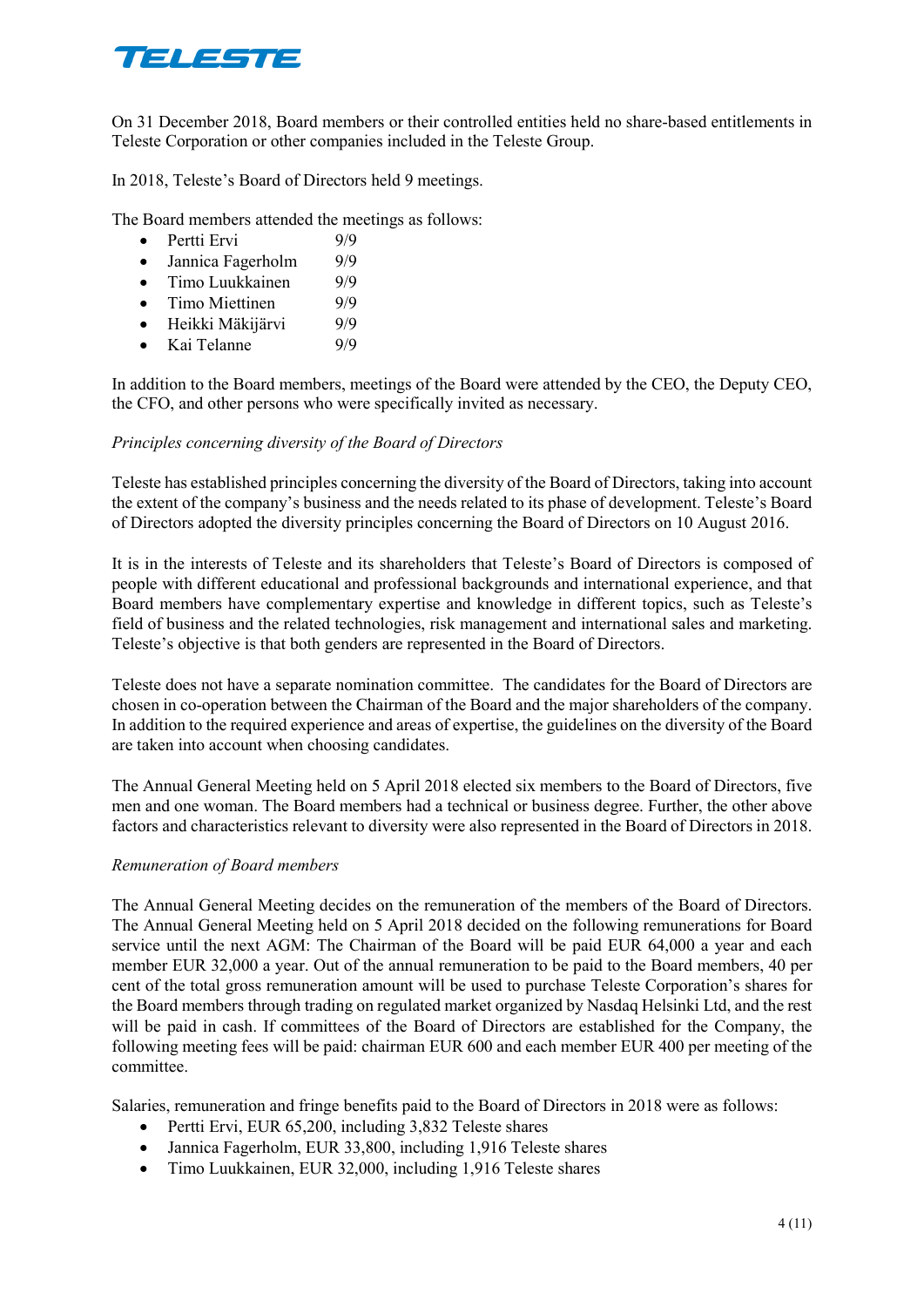

On 31 December 2018, Board members or their controlled entities held no share-based entitlements in Teleste Corporation or other companies included in the Teleste Group.

In 2018, Teleste's Board of Directors held 9 meetings.

The Board members attended the meetings as follows:

- Pertti Ervi 9/9
- Jannica Fagerholm 9/9
- Timo Luukkainen 9/9
- Timo Miettinen 9/9
- Heikki Mäkijärvi 9/9
- Kai Telanne 9/9

In addition to the Board members, meetings of the Board were attended by the CEO, the Deputy CEO, the CFO, and other persons who were specifically invited as necessary.

#### *Principles concerning diversity of the Board of Directors*

Teleste has established principles concerning the diversity of the Board of Directors, taking into account the extent of the company's business and the needs related to its phase of development. Teleste's Board of Directors adopted the diversity principles concerning the Board of Directors on 10 August 2016.

It is in the interests of Teleste and its shareholders that Teleste's Board of Directors is composed of people with different educational and professional backgrounds and international experience, and that Board members have complementary expertise and knowledge in different topics, such as Teleste's field of business and the related technologies, risk management and international sales and marketing. Teleste's objective is that both genders are represented in the Board of Directors.

Teleste does not have a separate nomination committee. The candidates for the Board of Directors are chosen in co-operation between the Chairman of the Board and the major shareholders of the company. In addition to the required experience and areas of expertise, the guidelines on the diversity of the Board are taken into account when choosing candidates.

The Annual General Meeting held on 5 April 2018 elected six members to the Board of Directors, five men and one woman. The Board members had a technical or business degree. Further, the other above factors and characteristics relevant to diversity were also represented in the Board of Directors in 2018.

#### *Remuneration of Board members*

The Annual General Meeting decides on the remuneration of the members of the Board of Directors. The Annual General Meeting held on 5 April 2018 decided on the following remunerations for Board service until the next AGM: The Chairman of the Board will be paid EUR 64,000 a year and each member EUR 32,000 a year. Out of the annual remuneration to be paid to the Board members, 40 per cent of the total gross remuneration amount will be used to purchase Teleste Corporation's shares for the Board members through trading on regulated market organized by Nasdaq Helsinki Ltd, and the rest will be paid in cash. If committees of the Board of Directors are established for the Company, the following meeting fees will be paid: chairman EUR 600 and each member EUR 400 per meeting of the committee.

Salaries, remuneration and fringe benefits paid to the Board of Directors in 2018 were as follows:

- Pertti Ervi, EUR 65,200, including 3,832 Teleste shares
- Jannica Fagerholm, EUR 33,800, including 1,916 Teleste shares
- Timo Luukkainen, EUR 32,000, including 1,916 Teleste shares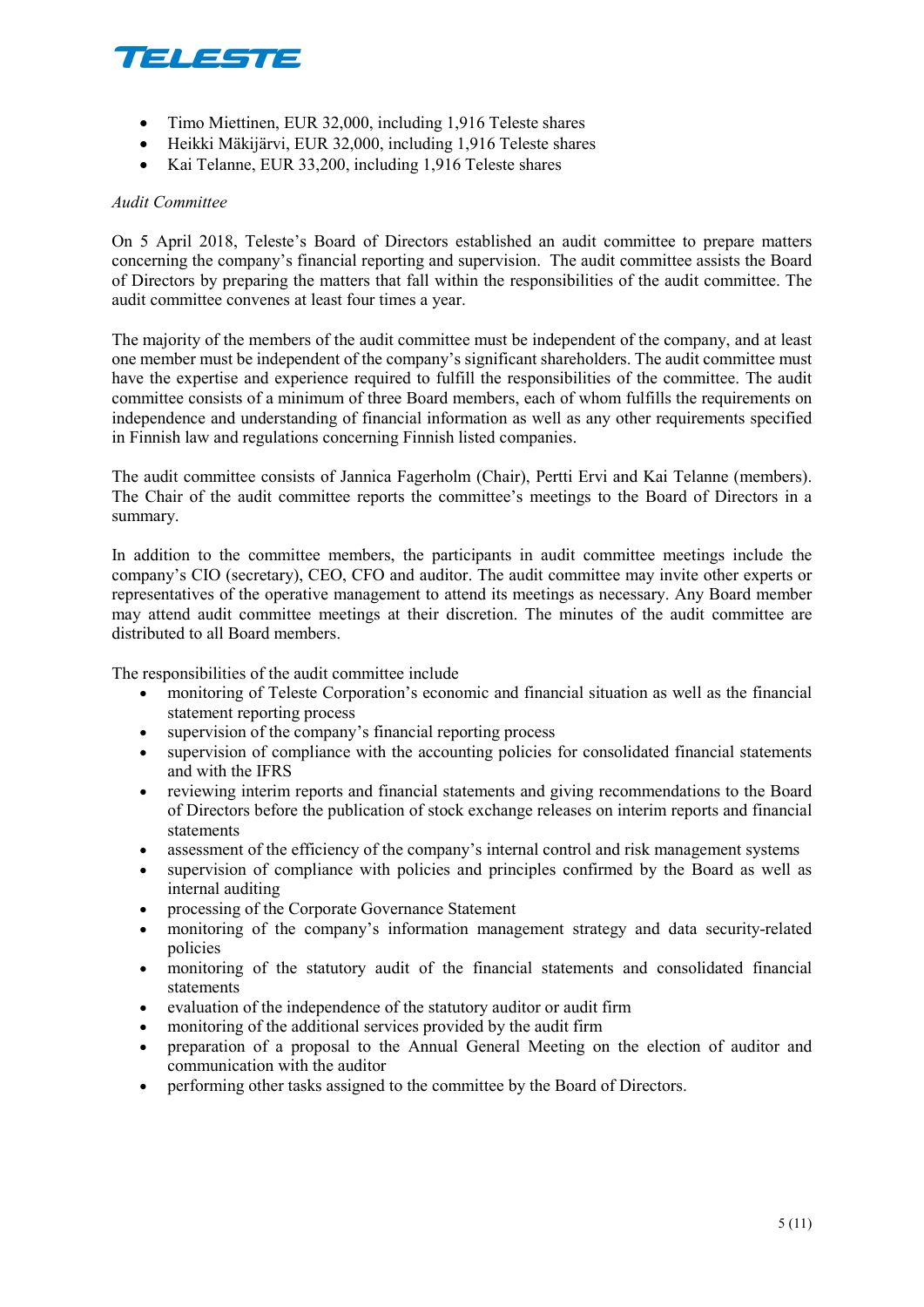

- Timo Miettinen, EUR 32,000, including 1,916 Teleste shares
- Heikki Mäkijärvi, EUR 32,000, including 1,916 Teleste shares
- Kai Telanne, EUR 33,200, including 1,916 Teleste shares

#### *Audit Committee*

On 5 April 2018, Teleste's Board of Directors established an audit committee to prepare matters concerning the company's financial reporting and supervision. The audit committee assists the Board of Directors by preparing the matters that fall within the responsibilities of the audit committee. The audit committee convenes at least four times a year.

The majority of the members of the audit committee must be independent of the company, and at least one member must be independent of the company's significant shareholders. The audit committee must have the expertise and experience required to fulfill the responsibilities of the committee. The audit committee consists of a minimum of three Board members, each of whom fulfills the requirements on independence and understanding of financial information as well as any other requirements specified in Finnish law and regulations concerning Finnish listed companies.

The audit committee consists of Jannica Fagerholm (Chair), Pertti Ervi and Kai Telanne (members). The Chair of the audit committee reports the committee's meetings to the Board of Directors in a summary.

In addition to the committee members, the participants in audit committee meetings include the company's CIO (secretary), CEO, CFO and auditor. The audit committee may invite other experts or representatives of the operative management to attend its meetings as necessary. Any Board member may attend audit committee meetings at their discretion. The minutes of the audit committee are distributed to all Board members.

The responsibilities of the audit committee include

- monitoring of Teleste Corporation's economic and financial situation as well as the financial statement reporting process
- supervision of the company's financial reporting process
- supervision of compliance with the accounting policies for consolidated financial statements and with the IFRS
- reviewing interim reports and financial statements and giving recommendations to the Board of Directors before the publication of stock exchange releases on interim reports and financial statements
- assessment of the efficiency of the company's internal control and risk management systems
- supervision of compliance with policies and principles confirmed by the Board as well as internal auditing
- processing of the Corporate Governance Statement
- monitoring of the company's information management strategy and data security-related policies
- monitoring of the statutory audit of the financial statements and consolidated financial statements
- evaluation of the independence of the statutory auditor or audit firm
- monitoring of the additional services provided by the audit firm
- preparation of a proposal to the Annual General Meeting on the election of auditor and communication with the auditor
- performing other tasks assigned to the committee by the Board of Directors.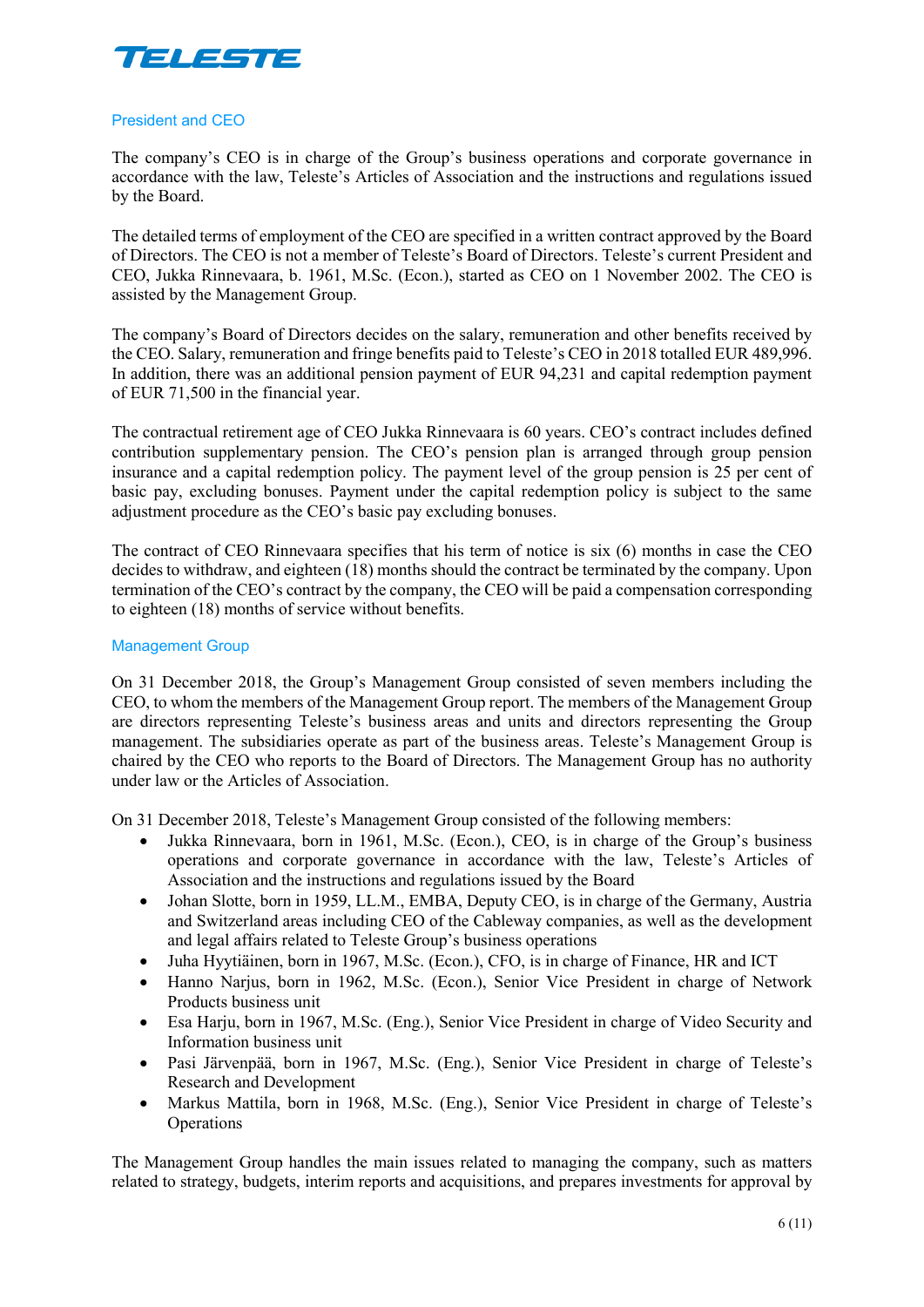

#### President and CEO

The company's CEO is in charge of the Group's business operations and corporate governance in accordance with the law, Teleste's Articles of Association and the instructions and regulations issued by the Board.

The detailed terms of employment of the CEO are specified in a written contract approved by the Board of Directors. The CEO is not a member of Teleste's Board of Directors. Teleste's current President and CEO, Jukka Rinnevaara, b. 1961, M.Sc. (Econ.), started as CEO on 1 November 2002. The CEO is assisted by the Management Group.

The company's Board of Directors decides on the salary, remuneration and other benefits received by the CEO. Salary, remuneration and fringe benefits paid to Teleste's CEO in 2018 totalled EUR 489,996. In addition, there was an additional pension payment of EUR 94,231 and capital redemption payment of EUR 71,500 in the financial year.

The contractual retirement age of CEO Jukka Rinnevaara is 60 years. CEO's contract includes defined contribution supplementary pension. The CEO's pension plan is arranged through group pension insurance and a capital redemption policy. The payment level of the group pension is 25 per cent of basic pay, excluding bonuses. Payment under the capital redemption policy is subject to the same adjustment procedure as the CEO's basic pay excluding bonuses.

The contract of CEO Rinnevaara specifies that his term of notice is six (6) months in case the CEO decides to withdraw, and eighteen (18) months should the contract be terminated by the company. Upon termination of the CEO's contract by the company, the CEO will be paid a compensation corresponding to eighteen (18) months of service without benefits.

#### Management Group

On 31 December 2018, the Group's Management Group consisted of seven members including the CEO, to whom the members of the Management Group report. The members of the Management Group are directors representing Teleste's business areas and units and directors representing the Group management. The subsidiaries operate as part of the business areas. Teleste's Management Group is chaired by the CEO who reports to the Board of Directors. The Management Group has no authority under law or the Articles of Association.

On 31 December 2018, Teleste's Management Group consisted of the following members:

- Jukka Rinnevaara, born in 1961, M.Sc. (Econ.), CEO, is in charge of the Group's business operations and corporate governance in accordance with the law, Teleste's Articles of Association and the instructions and regulations issued by the Board
- Johan Slotte, born in 1959, LL.M., EMBA, Deputy CEO, is in charge of the Germany, Austria and Switzerland areas including CEO of the Cableway companies, as well as the development and legal affairs related to Teleste Group's business operations
- Juha Hyytiäinen, born in 1967, M.Sc. (Econ.), CFO, is in charge of Finance, HR and ICT
- Hanno Narjus, born in 1962, M.Sc. (Econ.), Senior Vice President in charge of Network Products business unit
- Esa Harju, born in 1967, M.Sc. (Eng.), Senior Vice President in charge of Video Security and Information business unit
- Pasi Järvenpää, born in 1967, M.Sc. (Eng.), Senior Vice President in charge of Teleste's Research and Development
- Markus Mattila, born in 1968, M.Sc. (Eng.), Senior Vice President in charge of Teleste's Operations

The Management Group handles the main issues related to managing the company, such as matters related to strategy, budgets, interim reports and acquisitions, and prepares investments for approval by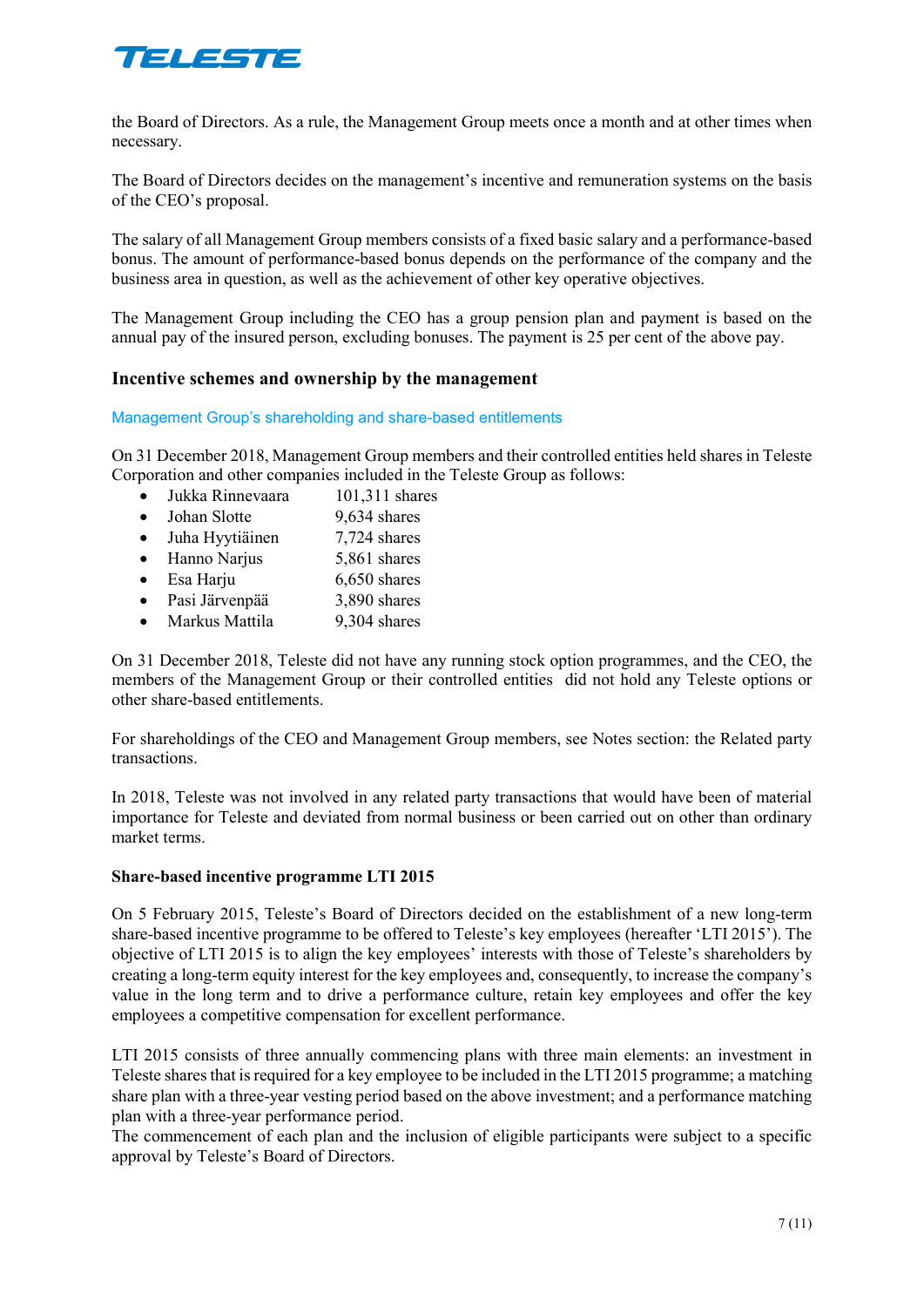

the Board of Directors. As a rule, the Management Group meets once a month and at other times when necessary.

The Board of Directors decides on the management's incentive and remuneration systems on the basis of the CEO's proposal.

The salary of all Management Group members consists of a fixed basic salary and a performance-based bonus. The amount of performance-based bonus depends on the performance of the company and the business area in question, as well as the achievement of other key operative objectives.

The Management Group including the CEO has a group pension plan and payment is based on the annual pay of the insured person, excluding bonuses. The payment is 25 per cent of the above pay.

#### **Incentive schemes and ownership by the management**

Management Group's shareholding and share-based entitlements

On 31 December 2018, Management Group members and their controlled entities held shares in Teleste Corporation and other companies included in the Teleste Group as follows:

- Jukka Rinnevaara 101,311 shares
- Johan Slotte 9,634 shares
- Juha Hyytiäinen 7,724 shares
- Hanno Narjus 5,861 shares
- Esa Harju 6,650 shares
- Pasi Järvenpää 3,890 shares
- Markus Mattila 9,304 shares

On 31 December 2018, Teleste did not have any running stock option programmes, and the CEO, the members of the Management Group or their controlled entities did not hold any Teleste options or other share-based entitlements.

For shareholdings of the CEO and Management Group members, see Notes section: the Related party transactions.

In 2018, Teleste was not involved in any related party transactions that would have been of material importance for Teleste and deviated from normal business or been carried out on other than ordinary market terms.

#### **Share-based incentive programme LTI 2015**

On 5 February 2015, Teleste's Board of Directors decided on the establishment of a new long-term share-based incentive programme to be offered to Teleste's key employees (hereafter 'LTI 2015'). The objective of LTI 2015 is to align the key employees' interests with those of Teleste's shareholders by creating a long-term equity interest for the key employees and, consequently, to increase the company's value in the long term and to drive a performance culture, retain key employees and offer the key employees a competitive compensation for excellent performance.

LTI 2015 consists of three annually commencing plans with three main elements: an investment in Teleste shares that is required for a key employee to be included in the LTI 2015 programme; a matching share plan with a three-year vesting period based on the above investment; and a performance matching plan with a three-year performance period.

The commencement of each plan and the inclusion of eligible participants were subject to a specific approval by Teleste's Board of Directors.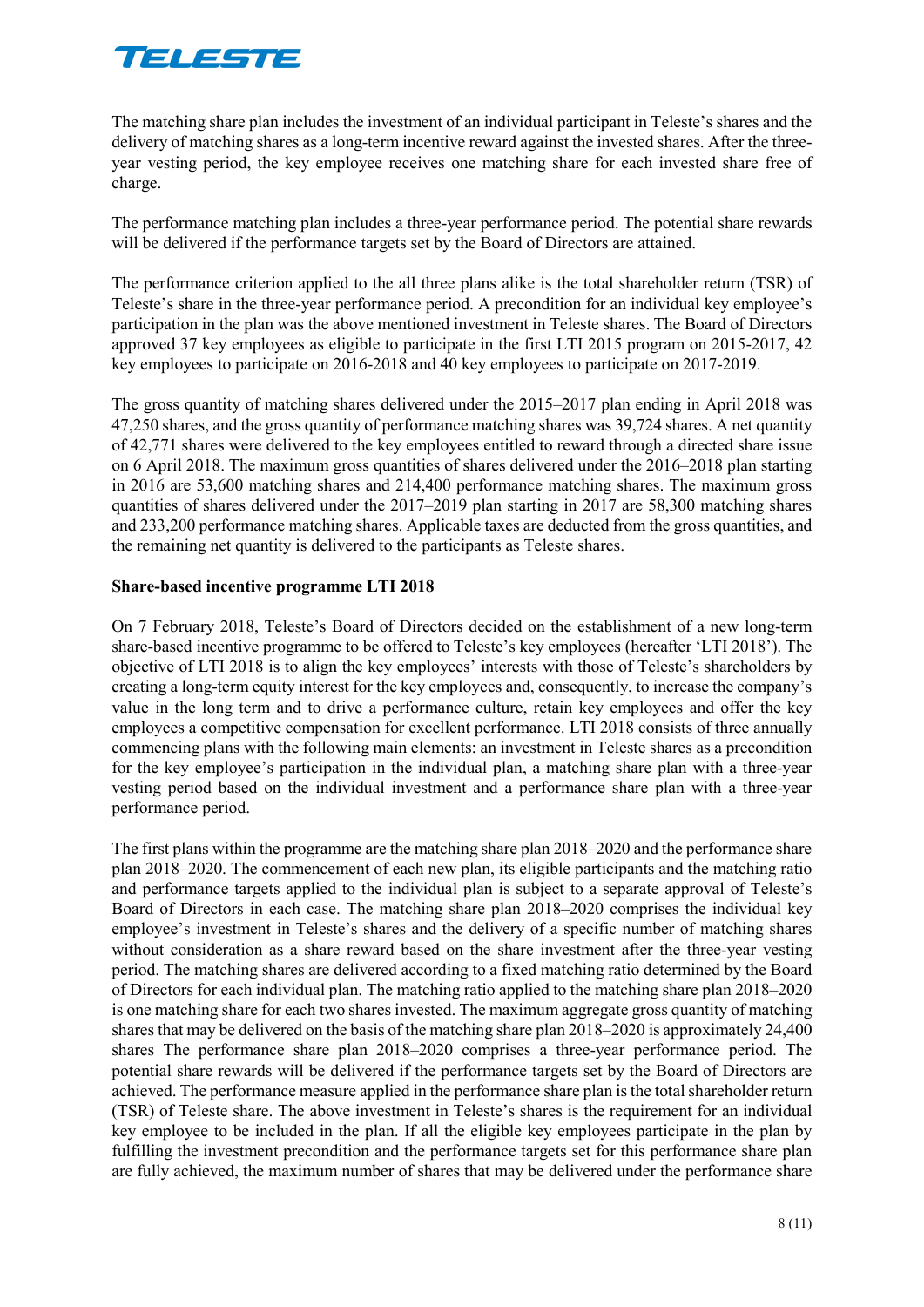

The matching share plan includes the investment of an individual participant in Teleste's shares and the delivery of matching shares as a long-term incentive reward against the invested shares. After the threeyear vesting period, the key employee receives one matching share for each invested share free of charge.

The performance matching plan includes a three-year performance period. The potential share rewards will be delivered if the performance targets set by the Board of Directors are attained.

The performance criterion applied to the all three plans alike is the total shareholder return (TSR) of Teleste's share in the three-year performance period. A precondition for an individual key employee's participation in the plan was the above mentioned investment in Teleste shares. The Board of Directors approved 37 key employees as eligible to participate in the first LTI 2015 program on 2015-2017, 42 key employees to participate on 2016-2018 and 40 key employees to participate on 2017-2019.

The gross quantity of matching shares delivered under the 2015–2017 plan ending in April 2018 was 47,250 shares, and the gross quantity of performance matching shares was 39,724 shares. A net quantity of 42,771 shares were delivered to the key employees entitled to reward through a directed share issue on 6 April 2018. The maximum gross quantities of shares delivered under the 2016–2018 plan starting in 2016 are 53,600 matching shares and 214,400 performance matching shares. The maximum gross quantities of shares delivered under the 2017–2019 plan starting in 2017 are 58,300 matching shares and 233,200 performance matching shares. Applicable taxes are deducted from the gross quantities, and the remaining net quantity is delivered to the participants as Teleste shares.

#### **Share-based incentive programme LTI 2018**

On 7 February 2018, Teleste's Board of Directors decided on the establishment of a new long-term share-based incentive programme to be offered to Teleste's key employees (hereafter 'LTI 2018'). The objective of LTI 2018 is to align the key employees' interests with those of Teleste's shareholders by creating a long-term equity interest for the key employees and, consequently, to increase the company's value in the long term and to drive a performance culture, retain key employees and offer the key employees a competitive compensation for excellent performance. LTI 2018 consists of three annually commencing plans with the following main elements: an investment in Teleste shares as a precondition for the key employee's participation in the individual plan, a matching share plan with a three-year vesting period based on the individual investment and a performance share plan with a three-year performance period.

The first plans within the programme are the matching share plan 2018–2020 and the performance share plan 2018–2020. The commencement of each new plan, its eligible participants and the matching ratio and performance targets applied to the individual plan is subject to a separate approval of Teleste's Board of Directors in each case. The matching share plan 2018–2020 comprises the individual key employee's investment in Teleste's shares and the delivery of a specific number of matching shares without consideration as a share reward based on the share investment after the three-year vesting period. The matching shares are delivered according to a fixed matching ratio determined by the Board of Directors for each individual plan. The matching ratio applied to the matching share plan 2018–2020 is one matching share for each two shares invested. The maximum aggregate gross quantity of matching shares that may be delivered on the basis of the matching share plan 2018–2020 is approximately 24,400 shares The performance share plan 2018–2020 comprises a three-year performance period. The potential share rewards will be delivered if the performance targets set by the Board of Directors are achieved. The performance measure applied in the performance share plan is the total shareholder return (TSR) of Teleste share. The above investment in Teleste's shares is the requirement for an individual key employee to be included in the plan. If all the eligible key employees participate in the plan by fulfilling the investment precondition and the performance targets set for this performance share plan are fully achieved, the maximum number of shares that may be delivered under the performance share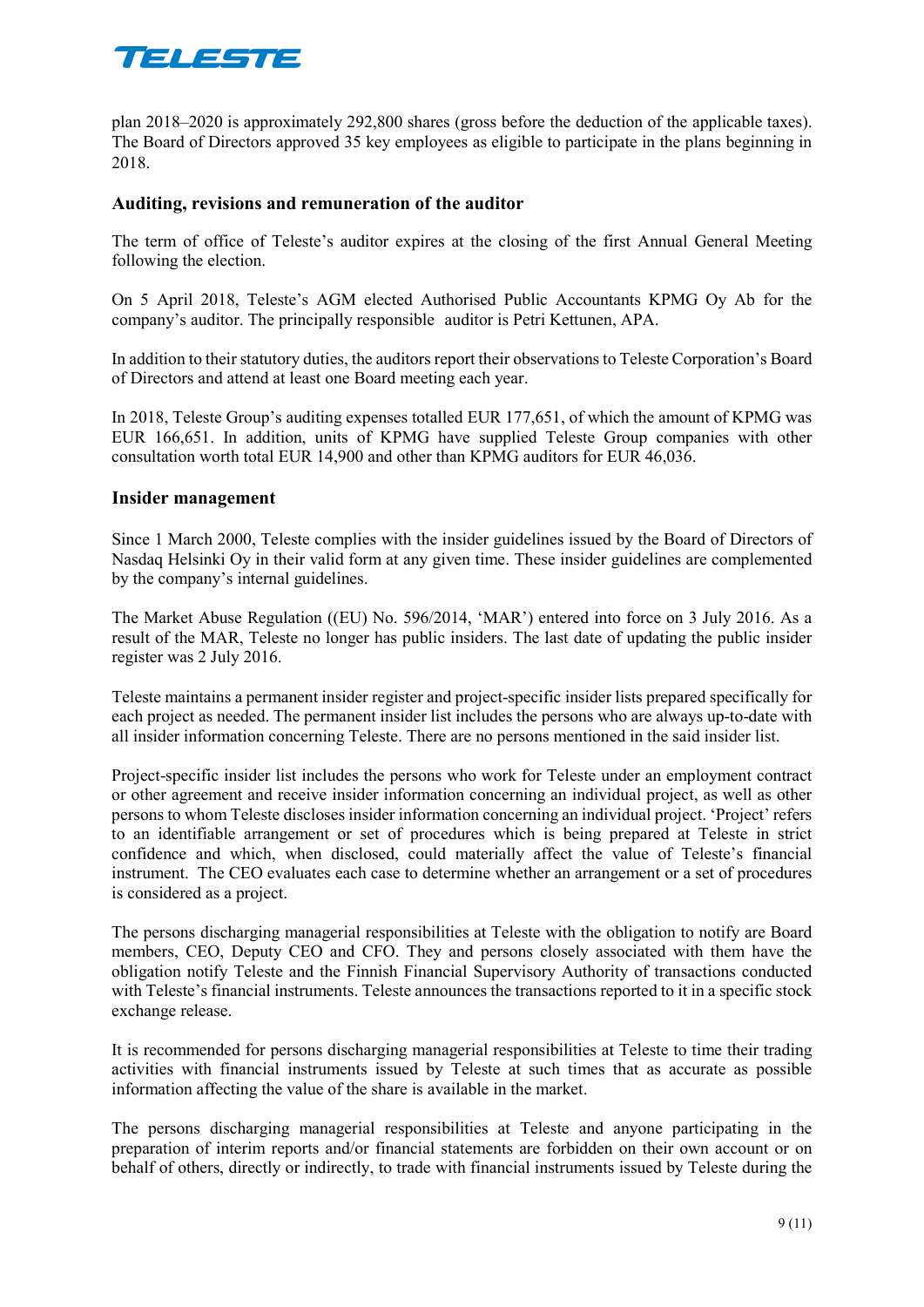

plan 2018–2020 is approximately 292,800 shares (gross before the deduction of the applicable taxes). The Board of Directors approved 35 key employees as eligible to participate in the plans beginning in 2018.

#### **Auditing, revisions and remuneration of the auditor**

The term of office of Teleste's auditor expires at the closing of the first Annual General Meeting following the election.

On 5 April 2018, Teleste's AGM elected Authorised Public Accountants KPMG Oy Ab for the company's auditor. The principally responsible auditor is Petri Kettunen, APA.

In addition to their statutory duties, the auditors report their observations to Teleste Corporation's Board of Directors and attend at least one Board meeting each year.

In 2018, Teleste Group's auditing expenses totalled EUR 177,651, of which the amount of KPMG was EUR 166,651. In addition, units of KPMG have supplied Teleste Group companies with other consultation worth total EUR 14,900 and other than KPMG auditors for EUR 46,036.

#### **Insider management**

Since 1 March 2000, Teleste complies with the insider guidelines issued by the Board of Directors of Nasdaq Helsinki Oy in their valid form at any given time. These insider guidelines are complemented by the company's internal guidelines.

The Market Abuse Regulation ((EU) No. 596/2014, 'MAR') entered into force on 3 July 2016. As a result of the MAR, Teleste no longer has public insiders. The last date of updating the public insider register was 2 July 2016.

Teleste maintains a permanent insider register and project-specific insider lists prepared specifically for each project as needed. The permanent insider list includes the persons who are always up-to-date with all insider information concerning Teleste. There are no persons mentioned in the said insider list.

Project-specific insider list includes the persons who work for Teleste under an employment contract or other agreement and receive insider information concerning an individual project, as well as other persons to whom Teleste discloses insider information concerning an individual project. 'Project' refers to an identifiable arrangement or set of procedures which is being prepared at Teleste in strict confidence and which, when disclosed, could materially affect the value of Teleste's financial instrument. The CEO evaluates each case to determine whether an arrangement or a set of procedures is considered as a project.

The persons discharging managerial responsibilities at Teleste with the obligation to notify are Board members, CEO, Deputy CEO and CFO. They and persons closely associated with them have the obligation notify Teleste and the Finnish Financial Supervisory Authority of transactions conducted with Teleste's financial instruments. Teleste announces the transactions reported to it in a specific stock exchange release.

It is recommended for persons discharging managerial responsibilities at Teleste to time their trading activities with financial instruments issued by Teleste at such times that as accurate as possible information affecting the value of the share is available in the market.

The persons discharging managerial responsibilities at Teleste and anyone participating in the preparation of interim reports and/or financial statements are forbidden on their own account or on behalf of others, directly or indirectly, to trade with financial instruments issued by Teleste during the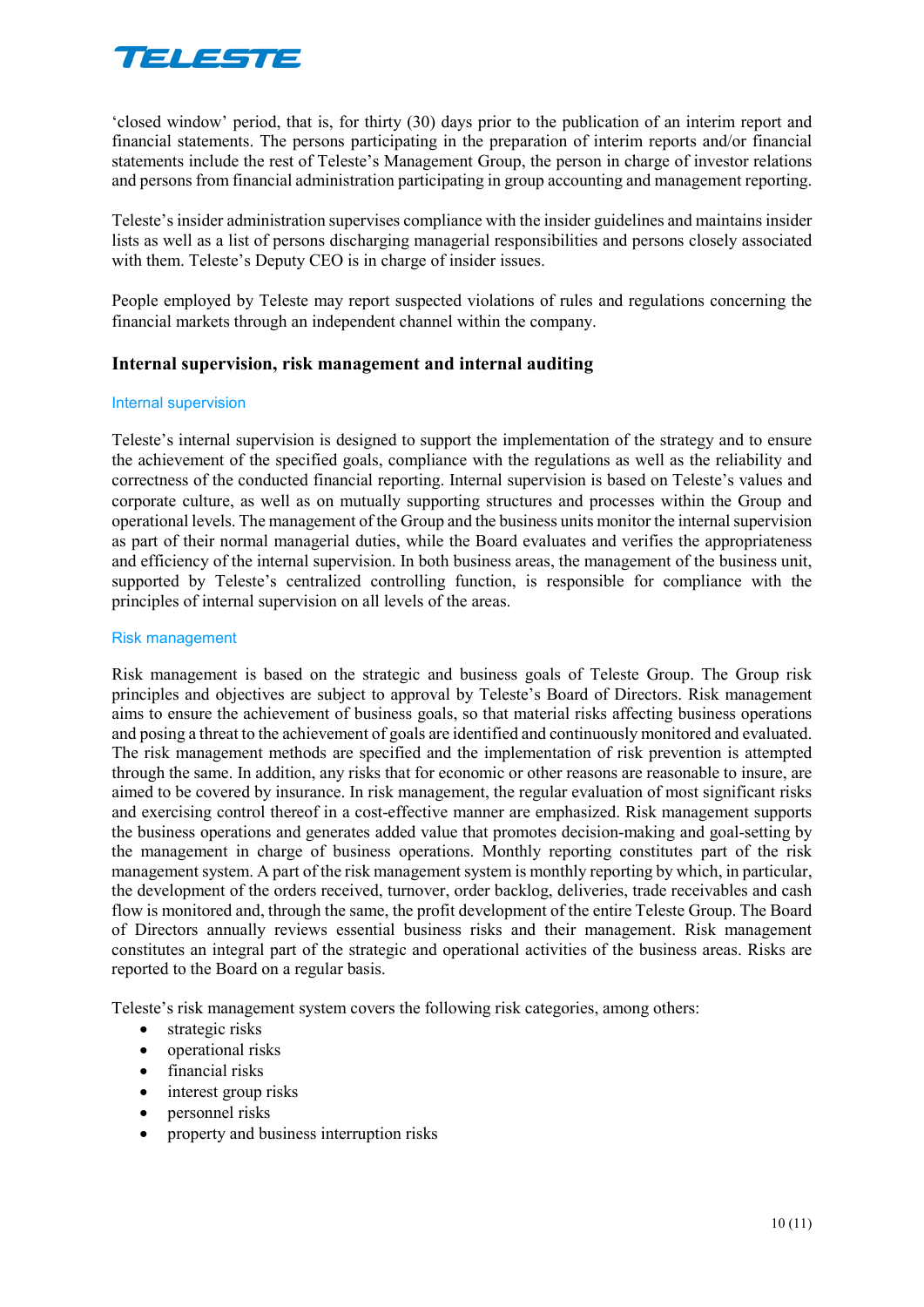

'closed window' period, that is, for thirty (30) days prior to the publication of an interim report and financial statements. The persons participating in the preparation of interim reports and/or financial statements include the rest of Teleste's Management Group, the person in charge of investor relations and persons from financial administration participating in group accounting and management reporting.

Teleste's insider administration supervises compliance with the insider guidelines and maintains insider lists as well as a list of persons discharging managerial responsibilities and persons closely associated with them. Teleste's Deputy CEO is in charge of insider issues.

People employed by Teleste may report suspected violations of rules and regulations concerning the financial markets through an independent channel within the company.

## **Internal supervision, risk management and internal auditing**

#### Internal supervision

Teleste's internal supervision is designed to support the implementation of the strategy and to ensure the achievement of the specified goals, compliance with the regulations as well as the reliability and correctness of the conducted financial reporting. Internal supervision is based on Teleste's values and corporate culture, as well as on mutually supporting structures and processes within the Group and operational levels. The management of the Group and the business units monitor the internal supervision as part of their normal managerial duties, while the Board evaluates and verifies the appropriateness and efficiency of the internal supervision. In both business areas, the management of the business unit, supported by Teleste's centralized controlling function, is responsible for compliance with the principles of internal supervision on all levels of the areas.

#### Risk management

Risk management is based on the strategic and business goals of Teleste Group. The Group risk principles and objectives are subject to approval by Teleste's Board of Directors. Risk management aims to ensure the achievement of business goals, so that material risks affecting business operations and posing a threat to the achievement of goals are identified and continuously monitored and evaluated. The risk management methods are specified and the implementation of risk prevention is attempted through the same. In addition, any risks that for economic or other reasons are reasonable to insure, are aimed to be covered by insurance. In risk management, the regular evaluation of most significant risks and exercising control thereof in a cost-effective manner are emphasized. Risk management supports the business operations and generates added value that promotes decision-making and goal-setting by the management in charge of business operations. Monthly reporting constitutes part of the risk management system. A part of the risk management system is monthly reporting by which, in particular, the development of the orders received, turnover, order backlog, deliveries, trade receivables and cash flow is monitored and, through the same, the profit development of the entire Teleste Group. The Board of Directors annually reviews essential business risks and their management. Risk management constitutes an integral part of the strategic and operational activities of the business areas. Risks are reported to the Board on a regular basis.

Teleste's risk management system covers the following risk categories, among others:

- strategic risks
- operational risks
- financial risks
- interest group risks
- personnel risks
- property and business interruption risks